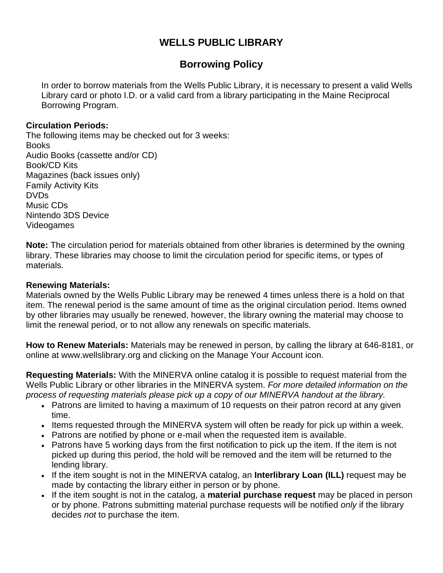# **WELLS PUBLIC LIBRARY**

# **Borrowing Policy**

In order to borrow materials from the Wells Public Library, it is necessary to present a valid Wells Library card or photo I.D. or a valid card from a library participating in the Maine Reciprocal Borrowing Program.

### **Circulation Periods:**

The following items may be checked out for 3 weeks: **Books** Audio Books (cassette and/or CD) Book/CD Kits Magazines (back issues only) Family Activity Kits DVDs Music CDs Nintendo 3DS Device Videogames

**Note:** The circulation period for materials obtained from other libraries is determined by the owning library. These libraries may choose to limit the circulation period for specific items, or types of materials.

### **Renewing Materials:**

Materials owned by the Wells Public Library may be renewed 4 times unless there is a hold on that item. The renewal period is the same amount of time as the original circulation period. Items owned by other libraries may usually be renewed, however, the library owning the material may choose to limit the renewal period, or to not allow any renewals on specific materials.

**How to Renew Materials:** Materials may be renewed in person, by calling the library at 646-8181, or online at www.wellslibrary.org and clicking on the Manage Your Account icon.

**Requesting Materials:** With the MINERVA online catalog it is possible to request material from the Wells Public Library or other libraries in the MINERVA system. *For more detailed information on the process of requesting materials please pick up a copy of our MINERVA handout at the library.* 

- Patrons are limited to having a maximum of 10 requests on their patron record at any given time.
- Items requested through the MINERVA system will often be ready for pick up within a week.
- Patrons are notified by phone or e-mail when the requested item is available.
- Patrons have 5 working days from the first notification to pick up the item. If the item is not picked up during this period, the hold will be removed and the item will be returned to the lending library.
- If the item sought is not in the MINERVA catalog, an **Interlibrary Loan (ILL)** request may be made by contacting the library either in person or by phone.
- If the item sought is not in the catalog, a **material purchase request** may be placed in person or by phone. Patrons submitting material purchase requests will be notified *only* if the library decides *not* to purchase the item.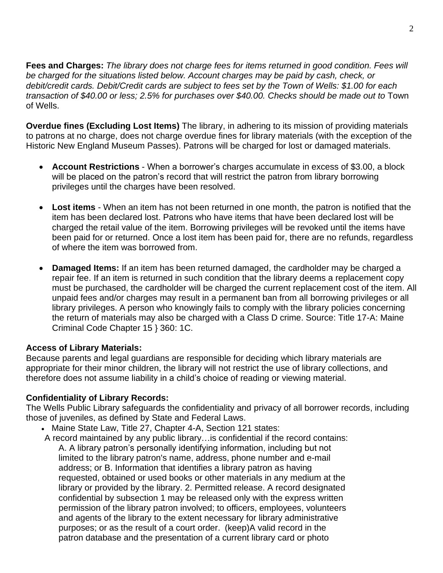**Fees and Charges:** *The library does not charge fees for items returned in good condition. Fees will be charged for the situations listed below. Account charges may be paid by cash, check, or debit/credit cards. Debit/Credit cards are subject to fees set by the Town of Wells: \$1.00 for each transaction of \$40.00 or less; 2.5% for purchases over \$40.00. Checks should be made out to* Town of Wells.

**Overdue fines (Excluding Lost Items)** The library, in adhering to its mission of providing materials to patrons at no charge, does not charge overdue fines for library materials (with the exception of the Historic New England Museum Passes). Patrons will be charged for lost or damaged materials.

- **Account Restrictions** When a borrower's charges accumulate in excess of \$3.00, a block will be placed on the patron's record that will restrict the patron from library borrowing privileges until the charges have been resolved.
- **Lost items**  When an item has not been returned in one month, the patron is notified that the item has been declared lost. Patrons who have items that have been declared lost will be charged the retail value of the item. Borrowing privileges will be revoked until the items have been paid for or returned. Once a lost item has been paid for, there are no refunds, regardless of where the item was borrowed from.
- **Damaged Items:** If an item has been returned damaged, the cardholder may be charged a repair fee. If an item is returned in such condition that the library deems a replacement copy must be purchased, the cardholder will be charged the current replacement cost of the item. All unpaid fees and/or charges may result in a permanent ban from all borrowing privileges or all library privileges. A person who knowingly fails to comply with the library policies concerning the return of materials may also be charged with a Class D crime. Source: Title 17-A: Maine Criminal Code Chapter 15 } 360: 1C.

#### **Access of Library Materials:**

Because parents and legal guardians are responsible for deciding which library materials are appropriate for their minor children, the library will not restrict the use of library collections, and therefore does not assume liability in a child's choice of reading or viewing material.

## **Confidentiality of Library Records:**

The Wells Public Library safeguards the confidentiality and privacy of all borrower records, including those of juveniles, as defined by State and Federal Laws.

- Maine State Law, Title 27, Chapter 4-A, Section 121 states:
- A record maintained by any public library…is confidential if the record contains: A. A library patron's personally identifying information, including but not limited to the library patron's name, address, phone number and e-mail address; or B. Information that identifies a library patron as having requested, obtained or used books or other materials in any medium at the library or provided by the library. 2. Permitted release. A record designated confidential by subsection 1 may be released only with the express written permission of the library patron involved; to officers, employees, volunteers and agents of the library to the extent necessary for library administrative purposes; or as the result of a court order. (keep)A valid record in the patron database and the presentation of a current library card or photo